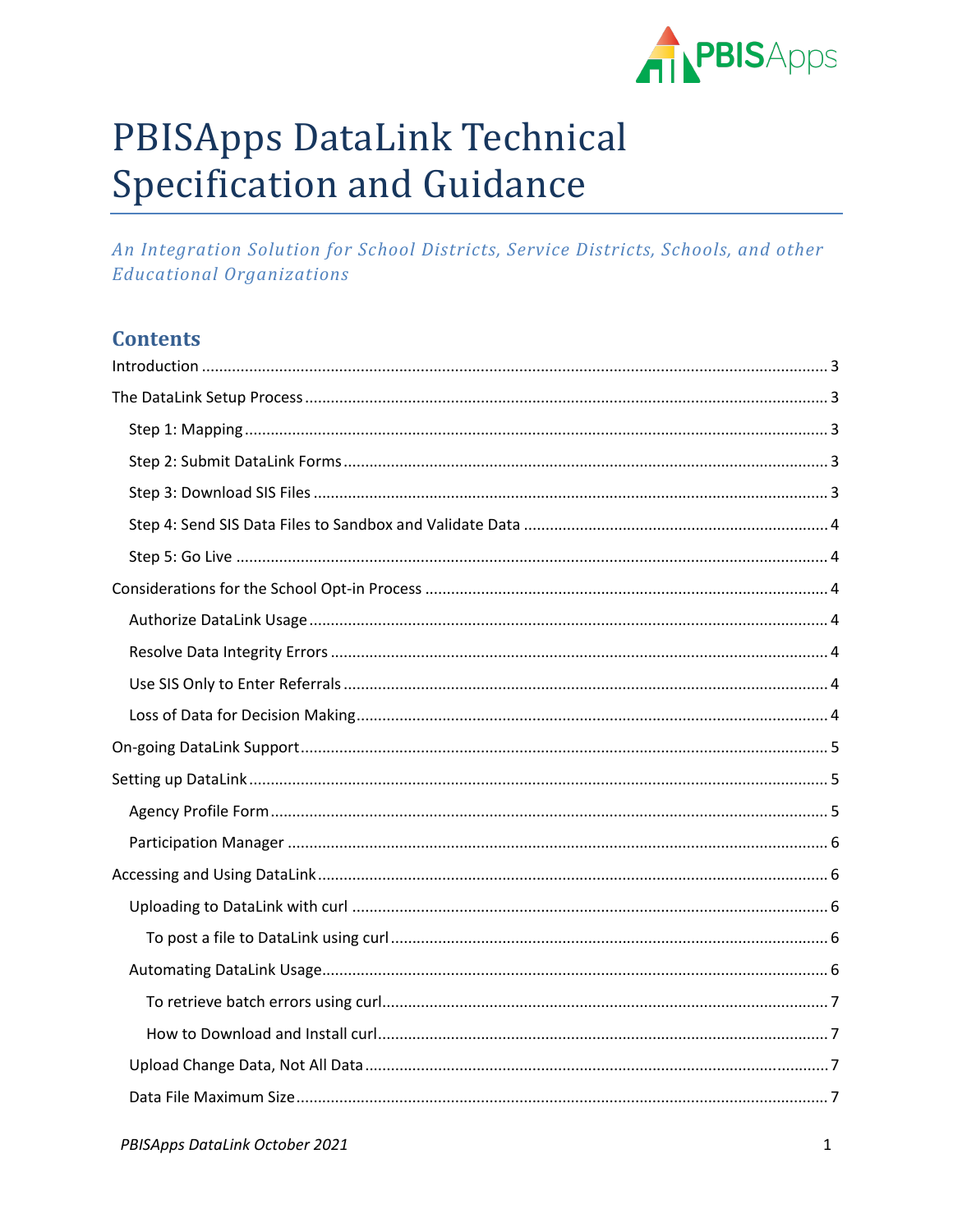

# **PBISApps DataLink Technical Specification and Guidance**

An Integration Solution for School Districts, Service Districts, Schools, and other **Educational Organizations** 

# **Contents**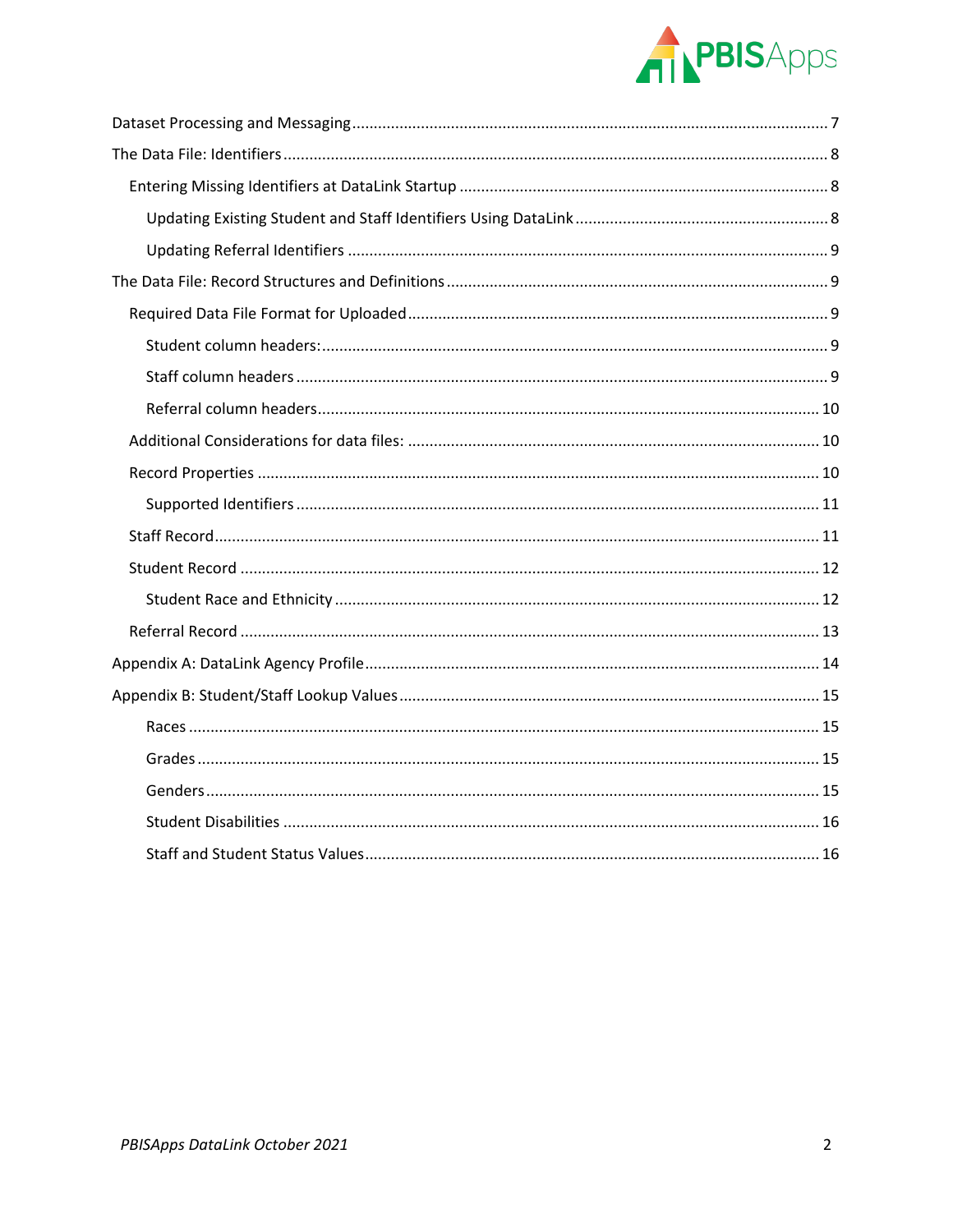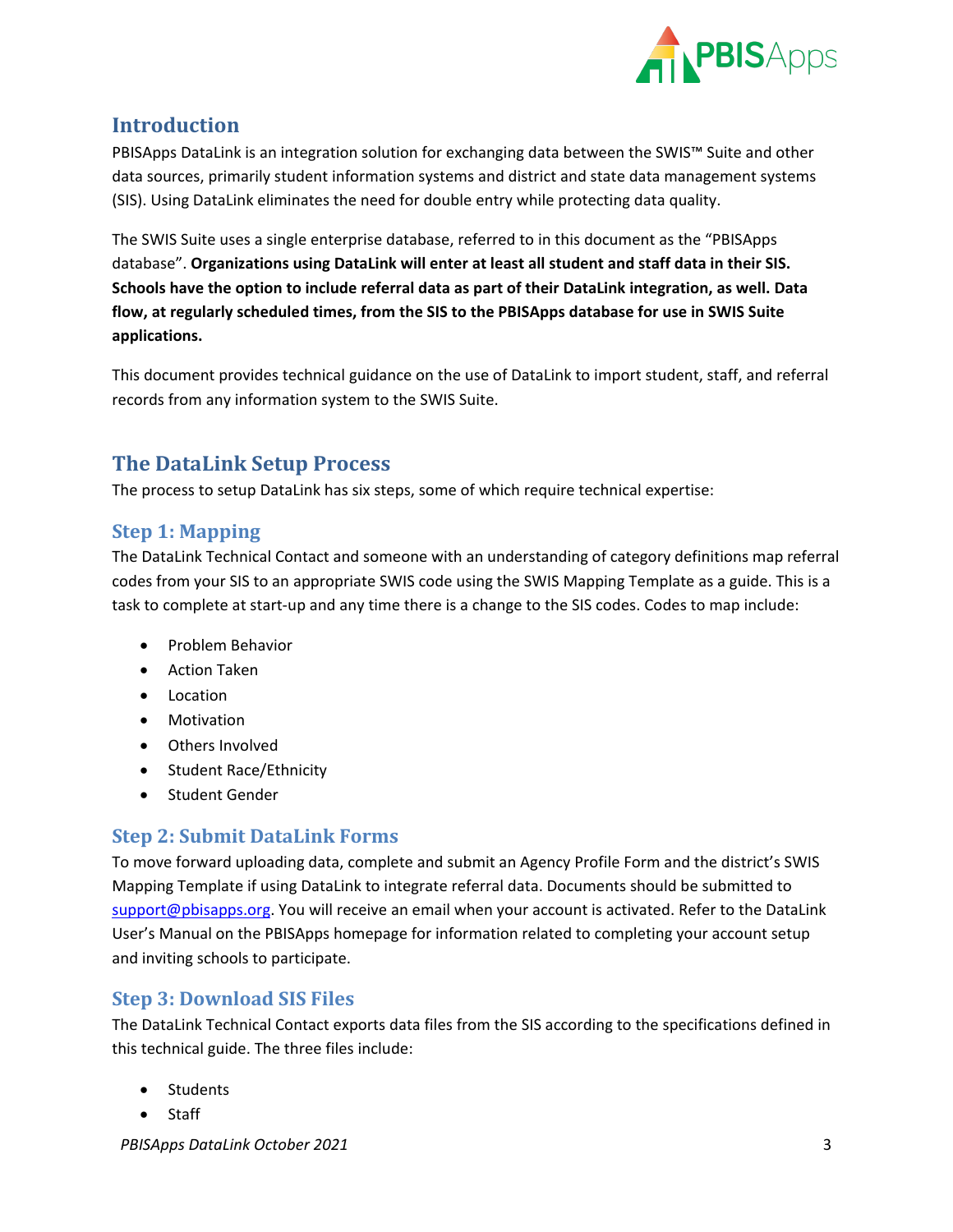

# <span id="page-2-0"></span>**Introduction**

PBISApps DataLink is an integration solution for exchanging data between the SWIS™ Suite and other data sources, primarily student information systems and district and state data management systems (SIS). Using DataLink eliminates the need for double entry while protecting data quality.

The SWIS Suite uses a single enterprise database, referred to in this document as the "PBISApps database". **Organizations using DataLink will enter at least all student and staff data in their SIS. Schools have the option to include referral data as part of their DataLink integration, as well. Data flow, at regularly scheduled times, from the SIS to the PBISApps database for use in SWIS Suite applications.**

This document provides technical guidance on the use of DataLink to import student, staff, and referral records from any information system to the SWIS Suite.

# <span id="page-2-1"></span>**The DataLink Setup Process**

The process to setup DataLink has six steps, some of which require technical expertise:

# <span id="page-2-2"></span>**Step 1: Mapping**

The DataLink Technical Contact and someone with an understanding of category definitions map referral codes from your SIS to an appropriate SWIS code using the SWIS Mapping Template as a guide. This is a task to complete at start-up and any time there is a change to the SIS codes. Codes to map include:

- Problem Behavior
- Action Taken
- Location
- Motivation
- Others Involved
- Student Race/Ethnicity
- Student Gender

# <span id="page-2-3"></span>**Step 2: Submit DataLink Forms**

To move forward uploading data, complete and submit an Agency Profile Form and the district's SWIS Mapping Template if using DataLink to integrate referral data. Documents should be submitted to [support@pbisapps.org.](mailto:support@pbisapps.org) You will receive an email when your account is activated. Refer to the DataLink User's Manual on the PBISApps homepage for information related to completing your account setup and inviting schools to participate.

# <span id="page-2-4"></span>**Step 3: Download SIS Files**

The DataLink Technical Contact exports data files from the SIS according to the specifications defined in this technical guide. The three files include:

- Students
- Staff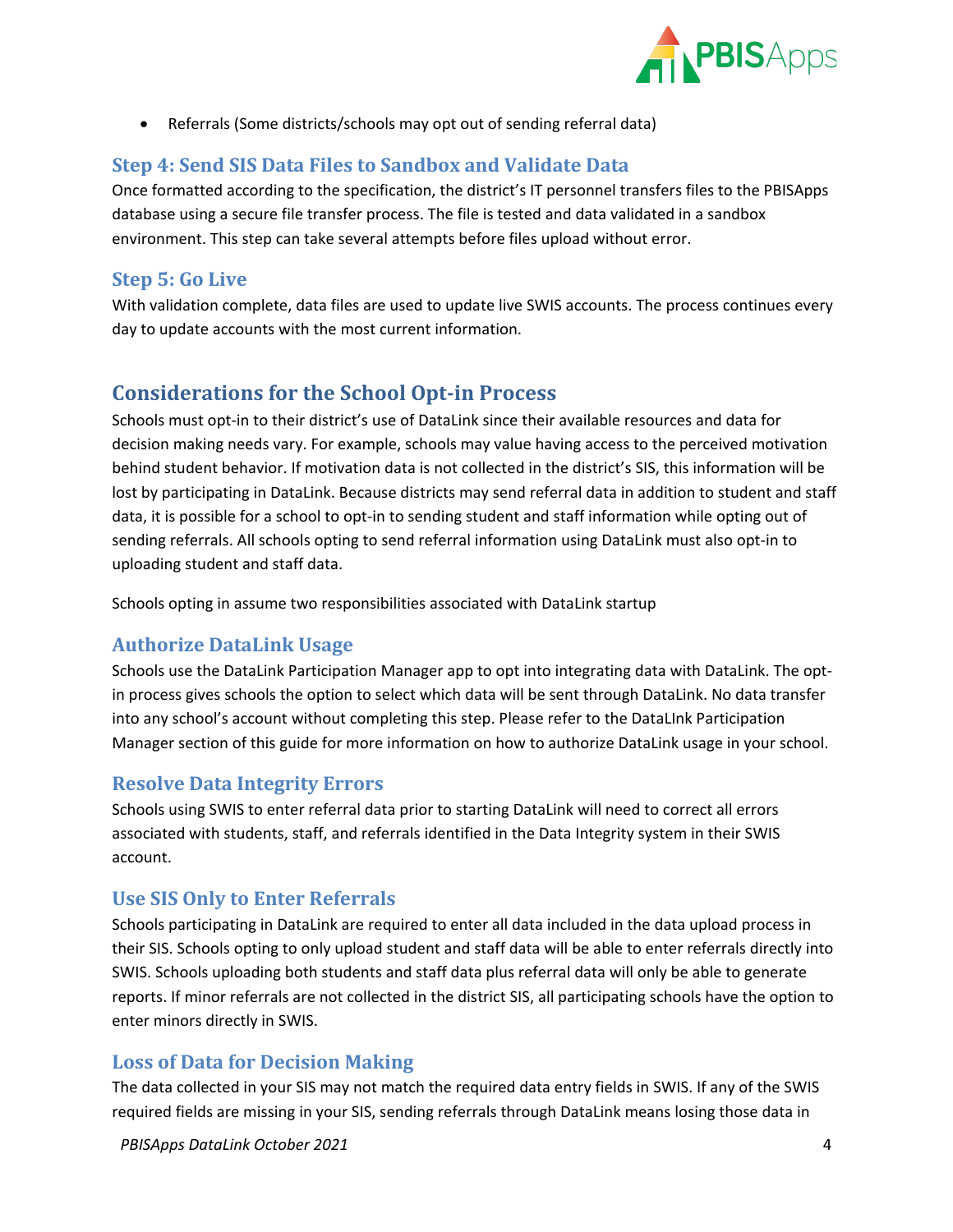

• Referrals (Some districts/schools may opt out of sending referral data)

# <span id="page-3-0"></span>**Step 4: Send SIS Data Files to Sandbox and Validate Data**

Once formatted according to the specification, the district's IT personnel transfers files to the PBISApps database using a secure file transfer process. The file is tested and data validated in a sandbox environment. This step can take several attempts before files upload without error.

# <span id="page-3-1"></span>**Step 5: Go Live**

With validation complete, data files are used to update live SWIS accounts. The process continues every day to update accounts with the most current information.

# <span id="page-3-2"></span>**Considerations for the School Opt-in Process**

Schools must opt-in to their district's use of DataLink since their available resources and data for decision making needs vary. For example, schools may value having access to the perceived motivation behind student behavior. If motivation data is not collected in the district's SIS, this information will be lost by participating in DataLink. Because districts may send referral data in addition to student and staff data, it is possible for a school to opt-in to sending student and staff information while opting out of sending referrals. All schools opting to send referral information using DataLink must also opt-in to uploading student and staff data.

Schools opting in assume two responsibilities associated with DataLink startup

# <span id="page-3-3"></span>**Authorize DataLink Usage**

Schools use the DataLink Participation Manager app to opt into integrating data with DataLink. The optin process gives schools the option to select which data will be sent through DataLink. No data transfer into any school's account without completing this step. Please refer to the DataLInk Participation Manager section of this guide for more information on how to authorize DataLink usage in your school.

#### <span id="page-3-4"></span>**Resolve Data Integrity Errors**

Schools using SWIS to enter referral data prior to starting DataLink will need to correct all errors associated with students, staff, and referrals identified in the Data Integrity system in their SWIS account.

# <span id="page-3-5"></span>**Use SIS Only to Enter Referrals**

Schools participating in DataLink are required to enter all data included in the data upload process in their SIS. Schools opting to only upload student and staff data will be able to enter referrals directly into SWIS. Schools uploading both students and staff data plus referral data will only be able to generate reports. If minor referrals are not collected in the district SIS, all participating schools have the option to enter minors directly in SWIS.

# <span id="page-3-6"></span>**Loss of Data for Decision Making**

The data collected in your SIS may not match the required data entry fields in SWIS. If any of the SWIS required fields are missing in your SIS, sending referrals through DataLink means losing those data in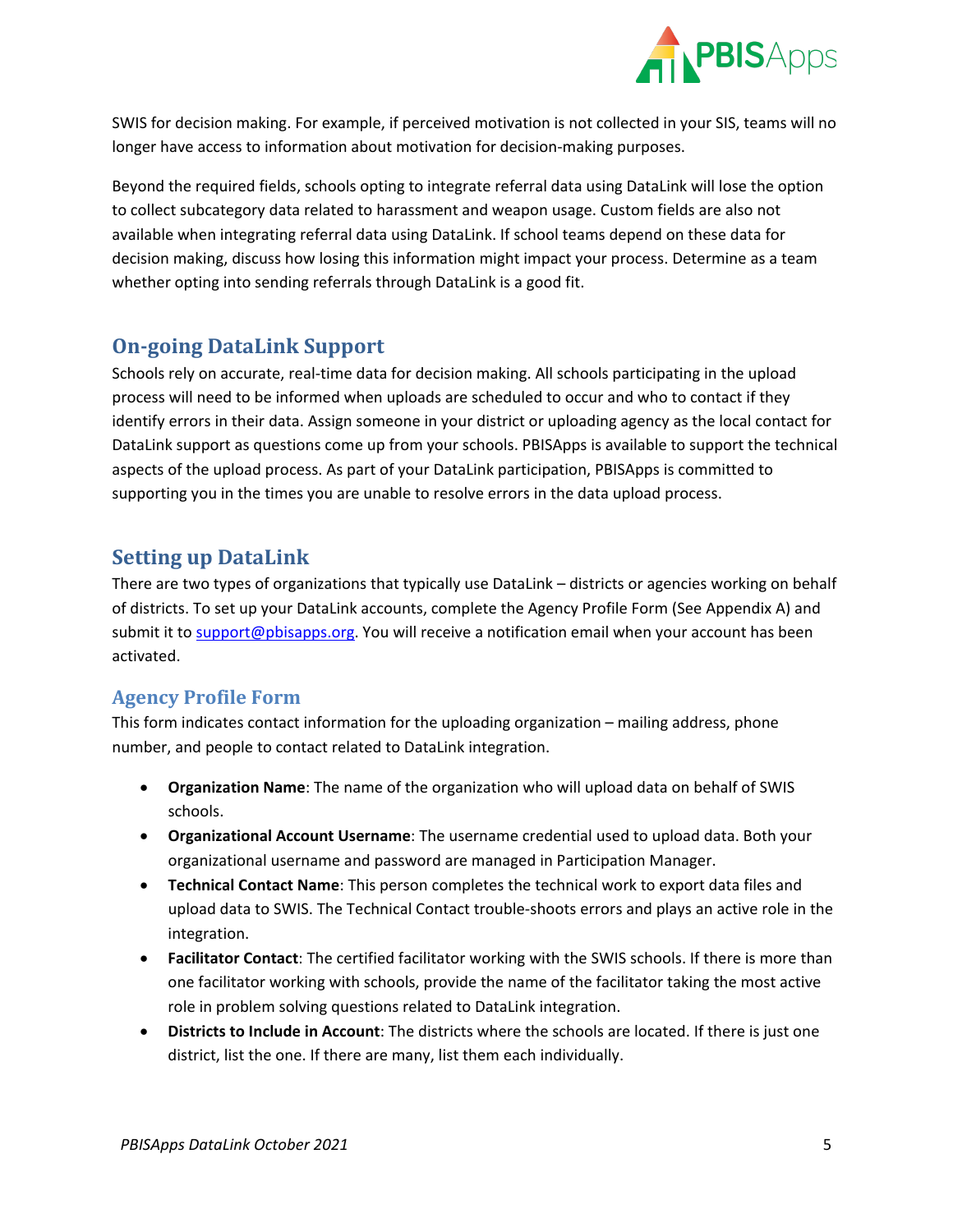

SWIS for decision making. For example, if perceived motivation is not collected in your SIS, teams will no longer have access to information about motivation for decision-making purposes.

Beyond the required fields, schools opting to integrate referral data using DataLink will lose the option to collect subcategory data related to harassment and weapon usage. Custom fields are also not available when integrating referral data using DataLink. If school teams depend on these data for decision making, discuss how losing this information might impact your process. Determine as a team whether opting into sending referrals through DataLink is a good fit.

# <span id="page-4-0"></span>**On-going DataLink Support**

Schools rely on accurate, real-time data for decision making. All schools participating in the upload process will need to be informed when uploads are scheduled to occur and who to contact if they identify errors in their data. Assign someone in your district or uploading agency as the local contact for DataLink support as questions come up from your schools. PBISApps is available to support the technical aspects of the upload process. As part of your DataLink participation, PBISApps is committed to supporting you in the times you are unable to resolve errors in the data upload process.

# <span id="page-4-1"></span>**Setting up DataLink**

There are two types of organizations that typically use DataLink – districts or agencies working on behalf of districts. To set up your DataLink accounts, complete the Agency Profile Form (See Appendix A) and submit it to [support@pbisapps.org.](mailto:support@pbisapps.org) You will receive a notification email when your account has been activated.

# <span id="page-4-2"></span>**Agency Profile Form**

This form indicates contact information for the uploading organization – mailing address, phone number, and people to contact related to DataLink integration.

- **Organization Name**: The name of the organization who will upload data on behalf of SWIS schools.
- **Organizational Account Username**: The username credential used to upload data. Both your organizational username and password are managed in Participation Manager.
- **Technical Contact Name**: This person completes the technical work to export data files and upload data to SWIS. The Technical Contact trouble-shoots errors and plays an active role in the integration.
- **Facilitator Contact**: The certified facilitator working with the SWIS schools. If there is more than one facilitator working with schools, provide the name of the facilitator taking the most active role in problem solving questions related to DataLink integration.
- **Districts to Include in Account**: The districts where the schools are located. If there is just one district, list the one. If there are many, list them each individually.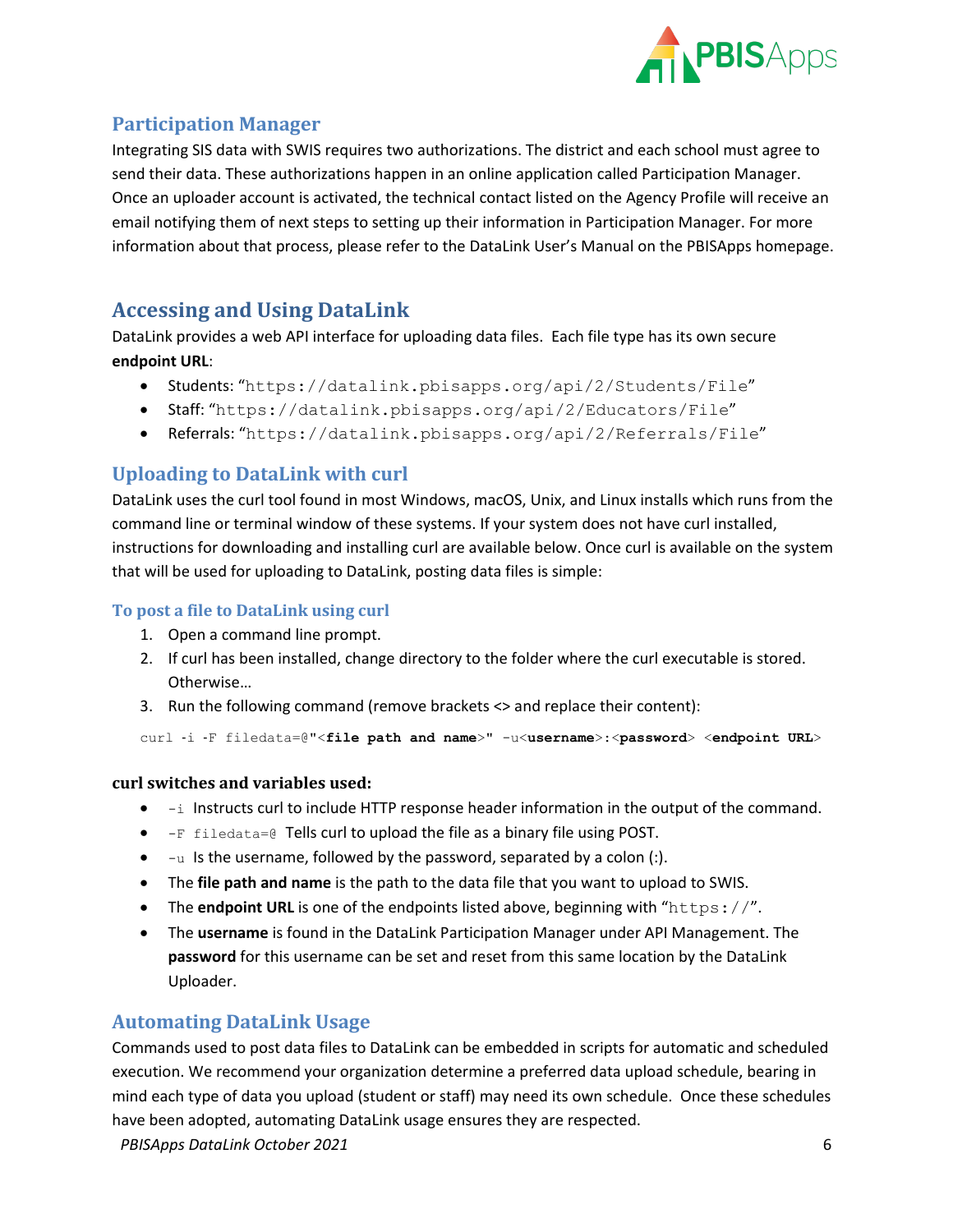

# <span id="page-5-0"></span>**Participation Manager**

Integrating SIS data with SWIS requires two authorizations. The district and each school must agree to send their data. These authorizations happen in an online application called Participation Manager. Once an uploader account is activated, the technical contact listed on the Agency Profile will receive an email notifying them of next steps to setting up their information in Participation Manager. For more information about that process, please refer to the DataLink User's Manual on the PBISApps homepage.

# <span id="page-5-1"></span>**Accessing and Using DataLink**

DataLink provides a web API interface for uploading data files. Each file type has its own secure **endpoint URL**:

- Students: "https://datalink.pbisapps.org/api/2/Students/File"
- Staff: "https://datalink.pbisapps.org/api/2/Educators/File"
- Referrals: "https://datalink.pbisapps.org/api/2/Referrals/File"

# <span id="page-5-2"></span>**Uploading to DataLink with curl**

DataLink uses the curl tool found in most Windows, macOS, Unix, and Linux installs which runs from the command line or terminal window of these systems. If your system does not have curl installed, instructions for downloading and installing curl are available below. Once curl is available on the system that will be used for uploading to DataLink, posting data files is simple:

#### <span id="page-5-3"></span>**To post a file to DataLink using curl**

- 1. Open a command line prompt.
- 2. If curl has been installed, change directory to the folder where the curl executable is stored. Otherwise…
- 3. Run the following command (remove brackets <> and replace their content):

curl ‐i ‐F filedata=@"<**file path and name**>" -u<**username**>:<**password**> <**endpoint URL**>

#### **curl switches and variables used:**

- $\bullet$   $-i$  Instructs curl to include HTTP response header information in the output of the command.
- $\bullet$   $-F$  filedata=@ Tells curl to upload the file as a binary file using POST.
- $\bullet$   $\overline{\phantom{a}}$  -u Is the username, followed by the password, separated by a colon (:).
- The **file path and name** is the path to the data file that you want to upload to SWIS.
- The **endpoint URL** is one of the endpoints listed above, beginning with "https://".
- The **username** is found in the DataLink Participation Manager under API Management. The **password** for this username can be set and reset from this same location by the DataLink Uploader.

#### <span id="page-5-4"></span>**Automating DataLink Usage**

Commands used to post data files to DataLink can be embedded in scripts for automatic and scheduled execution. We recommend your organization determine a preferred data upload schedule, bearing in mind each type of data you upload (student or staff) may need its own schedule. Once these schedules have been adopted, automating DataLink usage ensures they are respected.

*PBISApps DataLink October 2021* 6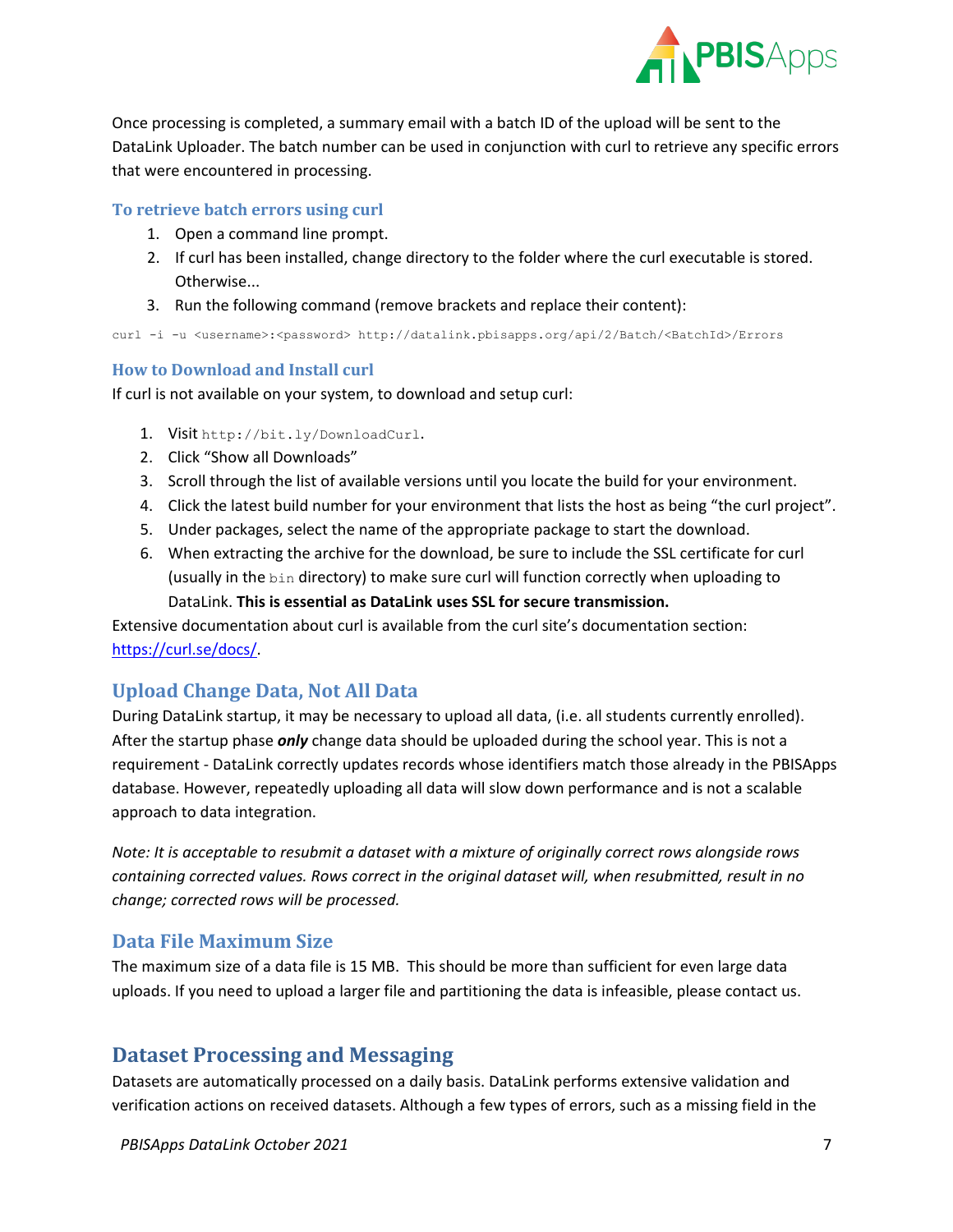

Once processing is completed, a summary email with a batch ID of the upload will be sent to the DataLink Uploader. The batch number can be used in conjunction with curl to retrieve any specific errors that were encountered in processing.

#### <span id="page-6-0"></span>**To retrieve batch errors using curl**

- 1. Open a command line prompt.
- 2. If curl has been installed, change directory to the folder where the curl executable is stored. Otherwise...
- 3. Run the following command (remove brackets and replace their content):

curl -i -u <username>:<password> http://datalink.pbisapps.org/api/2/Batch/<BatchId>/Errors

#### <span id="page-6-1"></span>**How to Download and Install curl**

If curl is not available on your system, to download and setup curl:

- 1. Visit http://bit.ly/DownloadCurl.
- 2. Click "Show all Downloads"
- 3. Scroll through the list of available versions until you locate the build for your environment.
- 4. Click the latest build number for your environment that lists the host as being "the curl project".
- 5. Under packages, select the name of the appropriate package to start the download.
- 6. When extracting the archive for the download, be sure to include the SSL certificate for curl (usually in the bin directory) to make sure curl will function correctly when uploading to DataLink. **This is essential as DataLink uses SSL for secure transmission.**

Extensive documentation about curl is available from the curl site's documentation section: [https://curl.se/docs/.](https://curl.se/docs/)

# <span id="page-6-2"></span>**Upload Change Data, Not All Data**

During DataLink startup, it may be necessary to upload all data, (i.e. all students currently enrolled). After the startup phase *only* change data should be uploaded during the school year. This is not a requirement - DataLink correctly updates records whose identifiers match those already in the PBISApps database. However, repeatedly uploading all data will slow down performance and is not a scalable approach to data integration.

*Note: It is acceptable to resubmit a dataset with a mixture of originally correct rows alongside rows containing corrected values. Rows correct in the original dataset will, when resubmitted, result in no change; corrected rows will be processed.*

#### <span id="page-6-3"></span>**Data File Maximum Size**

The maximum size of a data file is 15 MB. This should be more than sufficient for even large data uploads. If you need to upload a larger file and partitioning the data is infeasible, please contact us.

# <span id="page-6-4"></span>**Dataset Processing and Messaging**

Datasets are automatically processed on a daily basis. DataLink performs extensive validation and verification actions on received datasets. Although a few types of errors, such as a missing field in the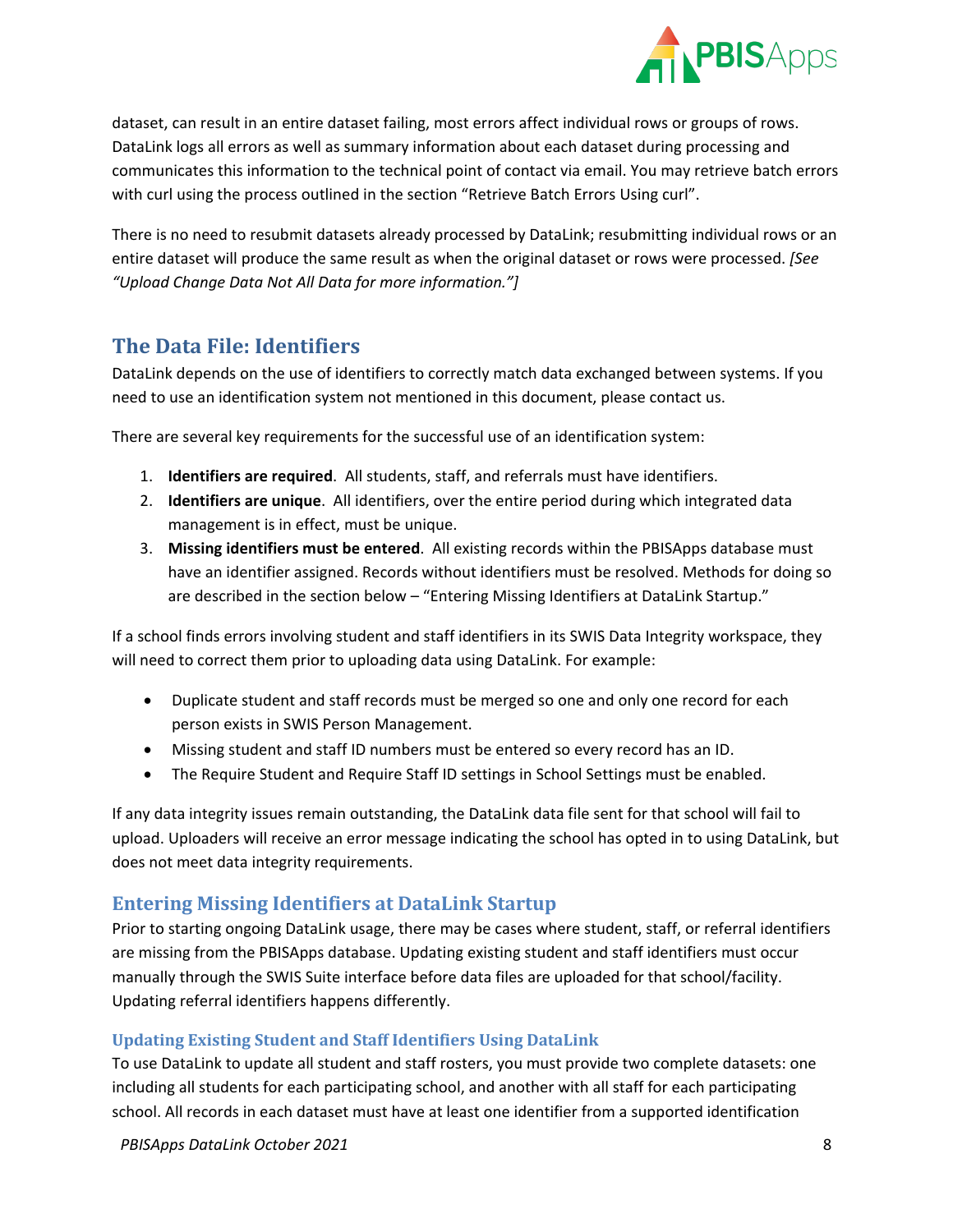

dataset, can result in an entire dataset failing, most errors affect individual rows or groups of rows. DataLink logs all errors as well as summary information about each dataset during processing and communicates this information to the technical point of contact via email. You may retrieve batch errors with curl using the process outlined in the section "Retrieve Batch Errors Using curl".

There is no need to resubmit datasets already processed by DataLink; resubmitting individual rows or an entire dataset will produce the same result as when the original dataset or rows were processed. *[See "Upload Change Data Not All Data for more information."]*

# <span id="page-7-0"></span>**The Data File: Identifiers**

DataLink depends on the use of identifiers to correctly match data exchanged between systems. If you need to use an identification system not mentioned in this document, please contact us.

There are several key requirements for the successful use of an identification system:

- 1. **Identifiers are required**. All students, staff, and referrals must have identifiers.
- 2. **Identifiers are unique**. All identifiers, over the entire period during which integrated data management is in effect, must be unique.
- 3. **Missing identifiers must be entered**. All existing records within the PBISApps database must have an identifier assigned. Records without identifiers must be resolved. Methods for doing so are described in the section below – "Entering Missing Identifiers at DataLink Startup."

If a school finds errors involving student and staff identifiers in its SWIS Data Integrity workspace, they will need to correct them prior to uploading data using DataLink. For example:

- Duplicate student and staff records must be merged so one and only one record for each person exists in SWIS Person Management.
- Missing student and staff ID numbers must be entered so every record has an ID.
- The Require Student and Require Staff ID settings in School Settings must be enabled.

If any data integrity issues remain outstanding, the DataLink data file sent for that school will fail to upload. Uploaders will receive an error message indicating the school has opted in to using DataLink, but does not meet data integrity requirements.

# <span id="page-7-1"></span>**Entering Missing Identifiers at DataLink Startup**

Prior to starting ongoing DataLink usage, there may be cases where student, staff, or referral identifiers are missing from the PBISApps database. Updating existing student and staff identifiers must occur manually through the SWIS Suite interface before data files are uploaded for that school/facility. Updating referral identifiers happens differently.

#### <span id="page-7-2"></span>**Updating Existing Student and Staff Identifiers Using DataLink**

To use DataLink to update all student and staff rosters, you must provide two complete datasets: one including all students for each participating school, and another with all staff for each participating school. All records in each dataset must have at least one identifier from a supported identification

*PBISApps DataLink October 2021* 8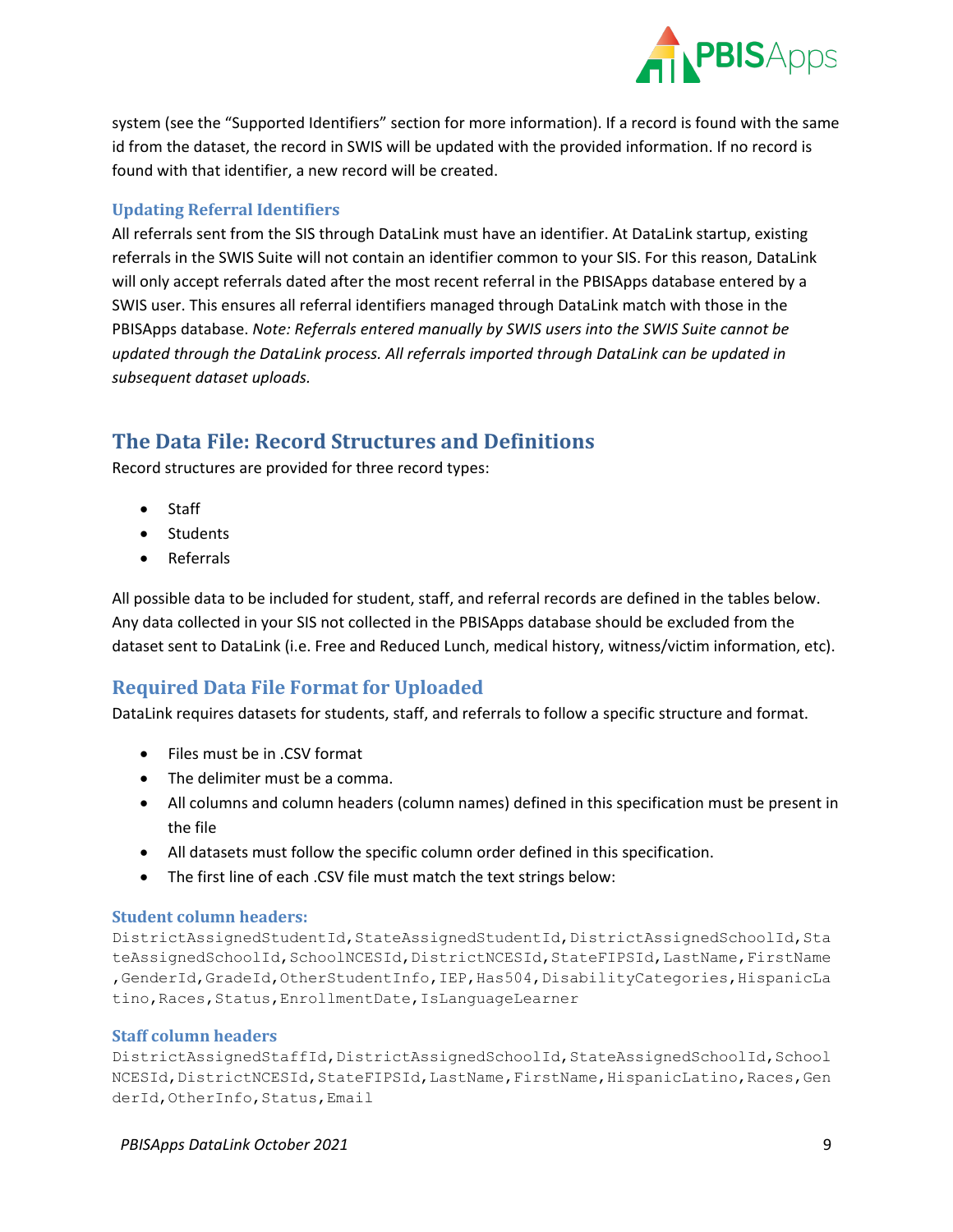

system (see the "Supported Identifiers" section for more information). If a record is found with the same id from the dataset, the record in SWIS will be updated with the provided information. If no record is found with that identifier, a new record will be created.

#### <span id="page-8-0"></span>**Updating Referral Identifiers**

All referrals sent from the SIS through DataLink must have an identifier. At DataLink startup, existing referrals in the SWIS Suite will not contain an identifier common to your SIS. For this reason, DataLink will only accept referrals dated after the most recent referral in the PBISApps database entered by a SWIS user. This ensures all referral identifiers managed through DataLink match with those in the PBISApps database. *Note: Referrals entered manually by SWIS users into the SWIS Suite cannot be updated through the DataLink process. All referrals imported through DataLink can be updated in subsequent dataset uploads.*

# <span id="page-8-1"></span>**The Data File: Record Structures and Definitions**

Record structures are provided for three record types:

- Staff
- Students
- Referrals

All possible data to be included for student, staff, and referral records are defined in the tables below. Any data collected in your SIS not collected in the PBISApps database should be excluded from the dataset sent to DataLink (i.e. Free and Reduced Lunch, medical history, witness/victim information, etc).

# <span id="page-8-2"></span>**Required Data File Format for Uploaded**

DataLink requires datasets for students, staff, and referrals to follow a specific structure and format.

- Files must be in .CSV format
- The delimiter must be a comma.
- All columns and column headers (column names) defined in this specification must be present in the file
- All datasets must follow the specific column order defined in this specification.
- The first line of each .CSV file must match the text strings below:

#### <span id="page-8-3"></span>**Student column headers:**

DistrictAssignedStudentId,StateAssignedStudentId,DistrictAssignedSchoolId,Sta teAssignedSchoolId,SchoolNCESId,DistrictNCESId,StateFIPSId,LastName,FirstName ,GenderId,GradeId,OtherStudentInfo,IEP,Has504,DisabilityCategories,HispanicLa tino,Races,Status,EnrollmentDate,IsLanguageLearner

#### <span id="page-8-4"></span>**Staff column headers**

DistrictAssignedStaffId,DistrictAssignedSchoolId,StateAssignedSchoolId,School NCESId, DistrictNCESId, StateFIPSId, LastName, FirstName, HispanicLatino, Races, Gen derId, OtherInfo, Status, Email

*PBISApps DataLink October 2021* 9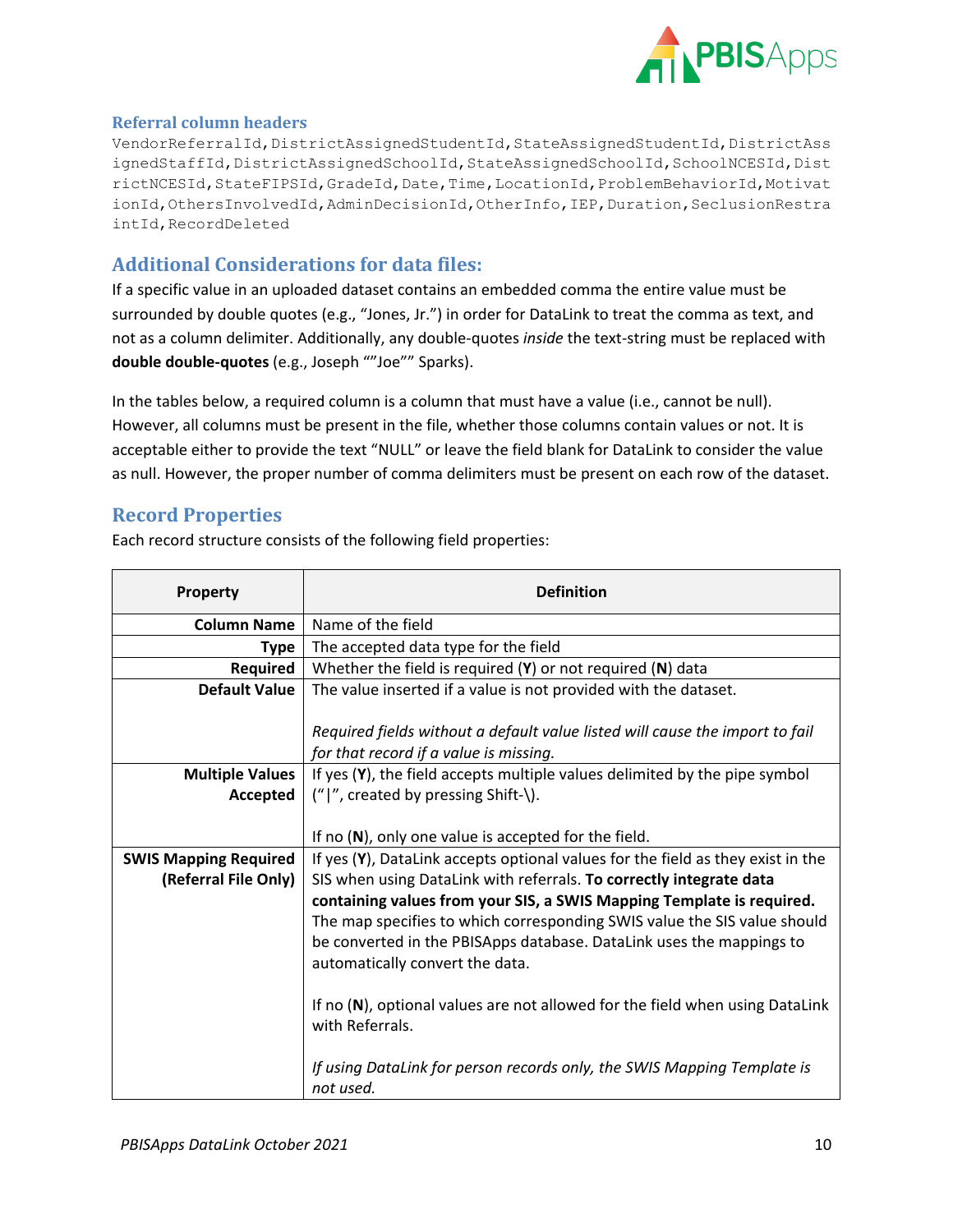

#### <span id="page-9-0"></span>**Referral column headers**

VendorReferralId, DistrictAssignedStudentId, StateAssignedStudentId, DistrictAss ignedStaffId, DistrictAssignedSchoolId, StateAssignedSchoolId, SchoolNCESId, Dist rictNCESId,StateFIPSId,GradeId,Date,Time,LocationId,ProblemBehaviorId,Motivat ionId, OthersInvolvedId, AdminDecisionId, OtherInfo, IEP, Duration, SeclusionRestra intId,RecordDeleted

## <span id="page-9-1"></span>**Additional Considerations for data files:**

If a specific value in an uploaded dataset contains an embedded comma the entire value must be surrounded by double quotes (e.g., "Jones, Jr.") in order for DataLink to treat the comma as text, and not as a column delimiter. Additionally, any double-quotes *inside* the text-string must be replaced with **double double-quotes** (e.g., Joseph ""Joe"" Sparks).

In the tables below, a required column is a column that must have a value (i.e., cannot be null). However, all columns must be present in the file, whether those columns contain values or not. It is acceptable either to provide the text "NULL" or leave the field blank for DataLink to consider the value as null. However, the proper number of comma delimiters must be present on each row of the dataset.

#### <span id="page-9-2"></span>**Record Properties**

Each record structure consists of the following field properties:

| Property                     | <b>Definition</b>                                                                  |  |  |  |  |
|------------------------------|------------------------------------------------------------------------------------|--|--|--|--|
| <b>Column Name</b>           | Name of the field                                                                  |  |  |  |  |
| <b>Type</b>                  | The accepted data type for the field                                               |  |  |  |  |
| Required                     | Whether the field is required $(Y)$ or not required $(N)$ data                     |  |  |  |  |
| <b>Default Value</b>         | The value inserted if a value is not provided with the dataset.                    |  |  |  |  |
|                              |                                                                                    |  |  |  |  |
|                              | Required fields without a default value listed will cause the import to fail       |  |  |  |  |
|                              | for that record if a value is missing.                                             |  |  |  |  |
| <b>Multiple Values</b>       | If yes (Y), the field accepts multiple values delimited by the pipe symbol         |  |  |  |  |
| Accepted                     | (" ", created by pressing Shift-\).                                                |  |  |  |  |
|                              |                                                                                    |  |  |  |  |
|                              | If no $(N)$ , only one value is accepted for the field.                            |  |  |  |  |
| <b>SWIS Mapping Required</b> | If yes $(Y)$ , DataLink accepts optional values for the field as they exist in the |  |  |  |  |
| (Referral File Only)         | SIS when using DataLink with referrals. To correctly integrate data                |  |  |  |  |
|                              | containing values from your SIS, a SWIS Mapping Template is required.              |  |  |  |  |
|                              | The map specifies to which corresponding SWIS value the SIS value should           |  |  |  |  |
|                              | be converted in the PBISApps database. DataLink uses the mappings to               |  |  |  |  |
|                              | automatically convert the data.                                                    |  |  |  |  |
|                              |                                                                                    |  |  |  |  |
|                              | If no $(N)$ , optional values are not allowed for the field when using DataLink    |  |  |  |  |
|                              | with Referrals.                                                                    |  |  |  |  |
|                              |                                                                                    |  |  |  |  |
|                              | If using DataLink for person records only, the SWIS Mapping Template is            |  |  |  |  |
|                              | not used.                                                                          |  |  |  |  |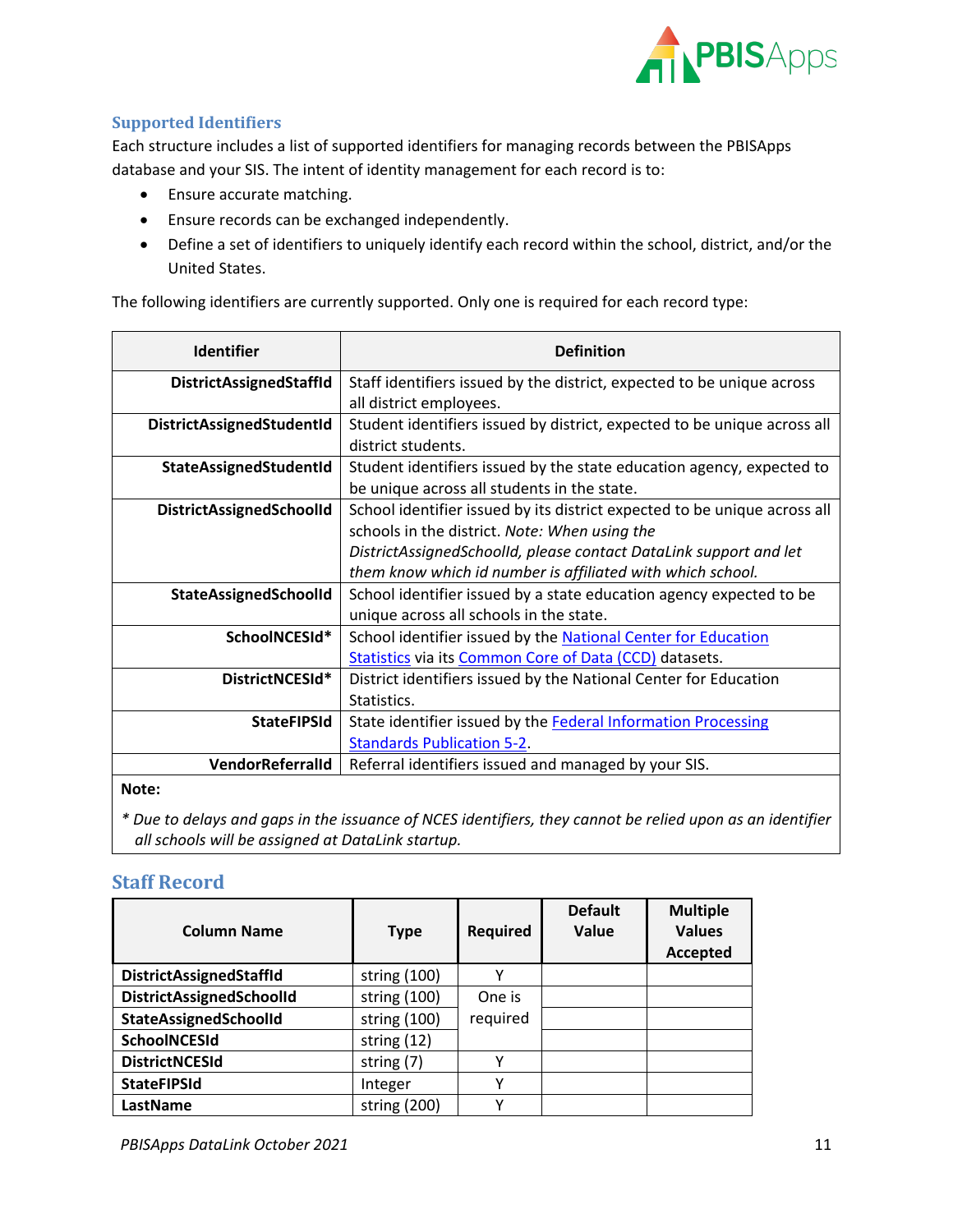

#### <span id="page-10-0"></span>**Supported Identifiers**

Each structure includes a list of supported identifiers for managing records between the PBISApps database and your SIS. The intent of identity management for each record is to:

- Ensure accurate matching.
- Ensure records can be exchanged independently.
- Define a set of identifiers to uniquely identify each record within the school, district, and/or the United States.

The following identifiers are currently supported. Only one is required for each record type:

| <b>Identifier</b>              | <b>Definition</b>                                                                                                                                                                                                                                             |
|--------------------------------|---------------------------------------------------------------------------------------------------------------------------------------------------------------------------------------------------------------------------------------------------------------|
| <b>DistrictAssignedStaffId</b> | Staff identifiers issued by the district, expected to be unique across<br>all district employees.                                                                                                                                                             |
| DistrictAssignedStudentId      | Student identifiers issued by district, expected to be unique across all<br>district students.                                                                                                                                                                |
| StateAssignedStudentId         | Student identifiers issued by the state education agency, expected to<br>be unique across all students in the state.                                                                                                                                          |
| DistrictAssignedSchoolId       | School identifier issued by its district expected to be unique across all<br>schools in the district. Note: When using the<br>DistrictAssignedSchoolId, please contact DataLink support and let<br>them know which id number is affiliated with which school. |
| StateAssignedSchoolId          | School identifier issued by a state education agency expected to be<br>unique across all schools in the state.                                                                                                                                                |
| SchoolNCESId*                  | School identifier issued by the National Center for Education<br><b>Statistics via its Common Core of Data (CCD) datasets.</b>                                                                                                                                |
| DistrictNCESId*                | District identifiers issued by the National Center for Education<br>Statistics.                                                                                                                                                                               |
| <b>StateFIPSId</b>             | State identifier issued by the Federal Information Processing<br><b>Standards Publication 5-2.</b>                                                                                                                                                            |
| VendorReferralId               | Referral identifiers issued and managed by your SIS.                                                                                                                                                                                                          |

#### **Note:**

*\* Due to delays and gaps in the issuance of NCES identifiers, they cannot be relied upon as an identifier all schools will be assigned at DataLink startup.*

#### <span id="page-10-1"></span>**Staff Record**

| <b>Column Name</b>             | <b>Type</b>   | <b>Required</b> | <b>Default</b><br>Value | <b>Multiple</b><br><b>Values</b><br>Accepted |
|--------------------------------|---------------|-----------------|-------------------------|----------------------------------------------|
| <b>DistrictAssignedStaffld</b> | string (100)  | ν               |                         |                                              |
| DistrictAssignedSchoolId       | string (100)  | One is          |                         |                                              |
| StateAssignedSchoolId          | string (100)  | required        |                         |                                              |
| SchoolNCESId                   | string $(12)$ |                 |                         |                                              |
| <b>DistrictNCESId</b>          | string (7)    | ν               |                         |                                              |
| <b>StateFIPSId</b>             | Integer       | ν               |                         |                                              |
| LastName                       | string (200)  | v               |                         |                                              |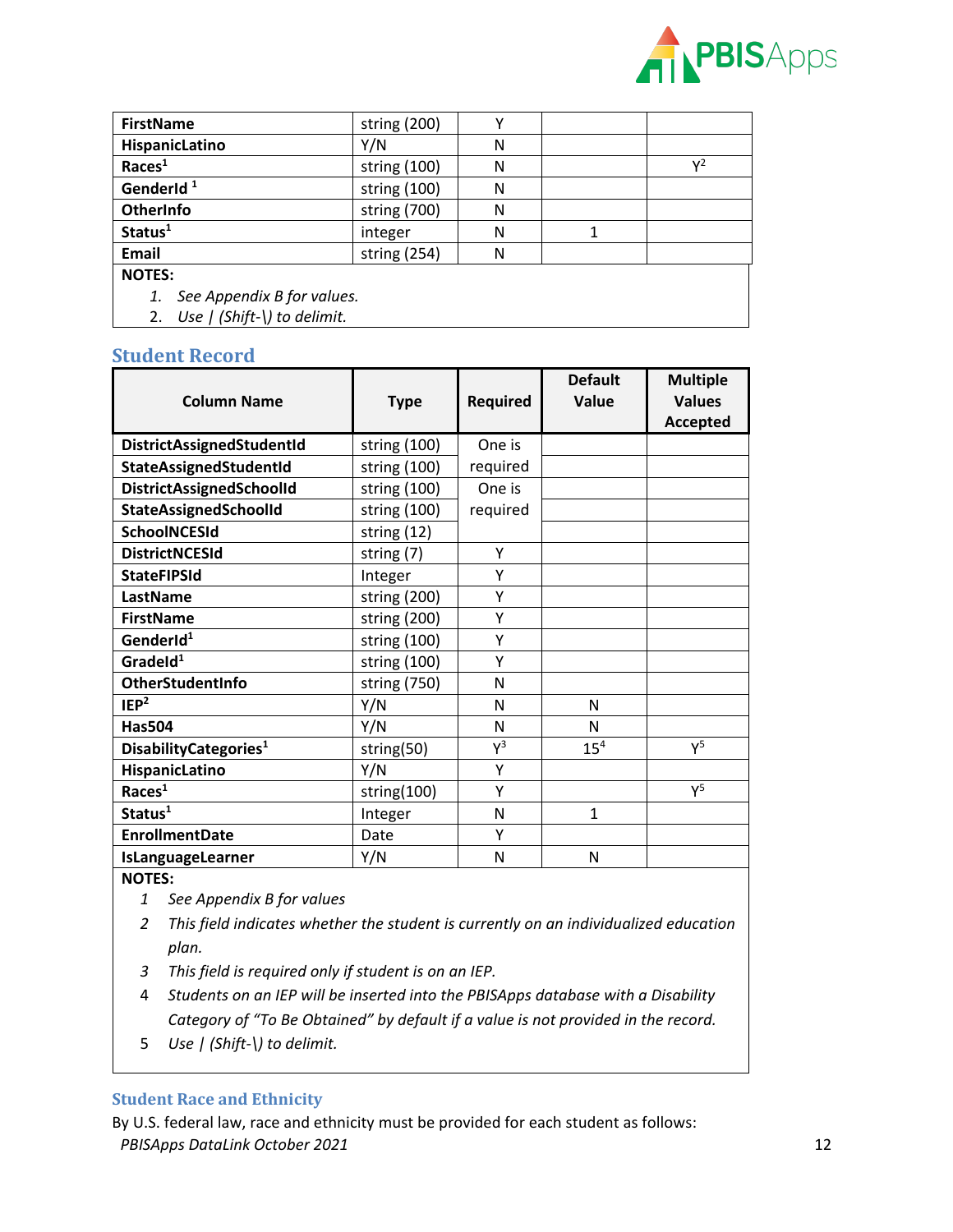

| <b>FirstName</b>                 | string (200)   |   |                |
|----------------------------------|----------------|---|----------------|
| HispanicLatino                   | Y/N            | N |                |
| Races <sup>1</sup>               | string $(100)$ | N | $\mathsf{v}^2$ |
| GenderId <sup>1</sup>            | string (100)   | N |                |
| OtherInfo                        | string (700)   | N |                |
| Status <sup>1</sup>              | integer        | N |                |
| <b>Email</b>                     | string (254)   | N |                |
| <b>NOTES:</b>                    |                |   |                |
| See Appendix B for values.<br>1. |                |   |                |

2. *Use | (Shift-\) to delimit.*

#### <span id="page-11-0"></span>**Student Record**

| <b>Column Name</b>                 | <b>Type</b>  | Required | <b>Default</b><br>Value | <b>Multiple</b><br><b>Values</b><br><b>Accepted</b> |
|------------------------------------|--------------|----------|-------------------------|-----------------------------------------------------|
| DistrictAssignedStudentId          | string (100) | One is   |                         |                                                     |
| <b>StateAssignedStudentId</b>      | string (100) | required |                         |                                                     |
| DistrictAssignedSchoolId           | string (100) | One is   |                         |                                                     |
| <b>StateAssignedSchoolId</b>       | string (100) | required |                         |                                                     |
| <b>SchoolNCESId</b>                | string (12)  |          |                         |                                                     |
| <b>DistrictNCESId</b>              | string (7)   | Υ        |                         |                                                     |
| <b>StateFIPSId</b>                 | Integer      | Υ        |                         |                                                     |
| LastName                           | string (200) | Υ        |                         |                                                     |
| <b>FirstName</b>                   | string (200) | Y        |                         |                                                     |
| GenderId <sup>1</sup>              | string (100) | Υ        |                         |                                                     |
| GradeId <sup>1</sup>               | string (100) | Y        |                         |                                                     |
| <b>OtherStudentInfo</b>            | string (750) | N        |                         |                                                     |
| IEP <sup>2</sup>                   | Y/N          | N        | N                       |                                                     |
| <b>Has504</b>                      | Y/N          | N        | N                       |                                                     |
| Disability Categories <sup>1</sup> | string(50)   | $Y^3$    | 15 <sup>4</sup>         | $Y^5$                                               |
| HispanicLatino                     | Y/N          | Y        |                         |                                                     |
| Races <sup>1</sup>                 | string(100)  | Y        |                         | $Y^5$                                               |
| Status <sup>1</sup>                | Integer      | N        | $\mathbf{1}$            |                                                     |
| <b>EnrollmentDate</b>              | Date         | Υ        |                         |                                                     |
| IsLanguageLearner                  | Y/N          | N        | N                       |                                                     |

**NOTES:**

- *1 See Appendix B for values*
- *2 This field indicates whether the student is currently on an individualized education plan.*
- *3 This field is required only if student is on an IEP.*
- 4 *Students on an IEP will be inserted into the PBISApps database with a Disability Category of "To Be Obtained" by default if a value is not provided in the record.*
- 5 *Use | (Shift-\) to delimit.*

#### <span id="page-11-1"></span>**Student Race and Ethnicity**

**PBISApps DataLink October 2021** 12 By U.S. federal law, race and ethnicity must be provided for each student as follows: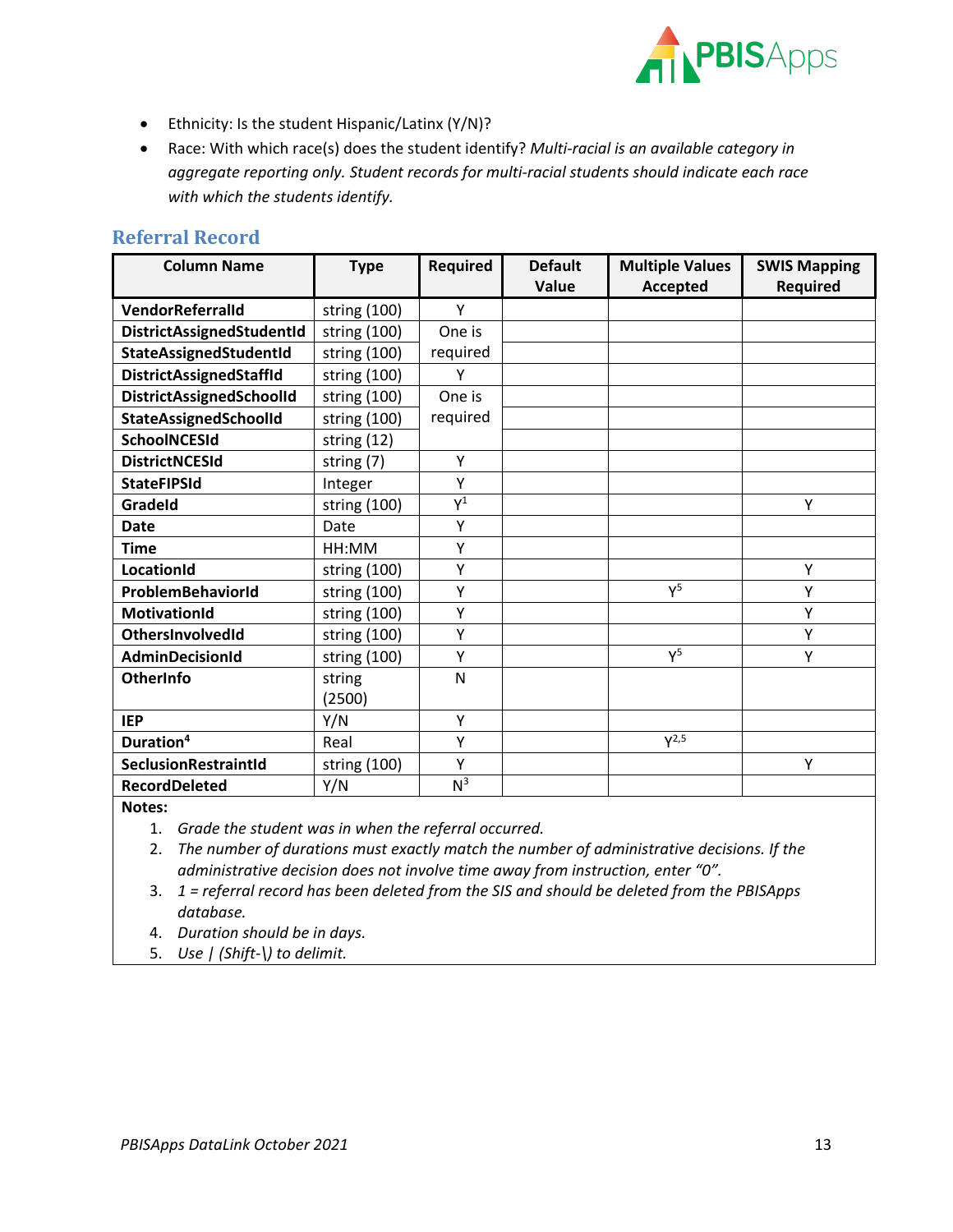

- Ethnicity: Is the student Hispanic/Latinx (Y/N)?
- Race: With which race(s) does the student identify? *Multi-racial is an available category in aggregate reporting only. Student records for multi-racial students should indicate each race with which the students identify.*

#### <span id="page-12-0"></span>**Referral Record**

| <b>Column Name</b>               | <b>Type</b>  | <b>Required</b> | <b>Default</b> | <b>Multiple Values</b> | <b>SWIS Mapping</b> |
|----------------------------------|--------------|-----------------|----------------|------------------------|---------------------|
|                                  |              |                 | Value          | <b>Accepted</b>        | <b>Required</b>     |
| <b>VendorReferralId</b>          | string (100) | Y               |                |                        |                     |
| <b>DistrictAssignedStudentId</b> | string (100) | One is          |                |                        |                     |
| StateAssignedStudentId           | string (100) | required        |                |                        |                     |
| <b>DistrictAssignedStaffld</b>   | string (100) | Υ               |                |                        |                     |
| DistrictAssignedSchoolId         | string (100) | One is          |                |                        |                     |
| <b>StateAssignedSchoolId</b>     | string (100) | required        |                |                        |                     |
| <b>SchoolNCESId</b>              | string (12)  |                 |                |                        |                     |
| <b>DistrictNCESId</b>            | string (7)   | Y               |                |                        |                     |
| <b>StateFIPSId</b>               | Integer      | Υ               |                |                        |                     |
| Gradeld                          | string (100) | $Y^1$           |                |                        | Y                   |
| <b>Date</b>                      | Date         | Y               |                |                        |                     |
| <b>Time</b>                      | HH:MM        | Υ               |                |                        |                     |
| LocationId                       | string (100) | Y               |                |                        | Υ                   |
| ProblemBehaviorId                | string (100) | Υ               |                | $Y^5$                  | Υ                   |
| <b>MotivationId</b>              | string (100) | Y               |                |                        | Υ                   |
| OthersInvolvedId                 | string (100) | Υ               |                |                        | Υ                   |
| <b>AdminDecisionId</b>           | string (100) | Y               |                | $Y^5$                  | Υ                   |
| OtherInfo                        | string       | N               |                |                        |                     |
|                                  | (2500)       |                 |                |                        |                     |
| <b>IEP</b>                       | Y/N          | Y               |                |                        |                     |
| Duration <sup>4</sup>            | Real         | Υ               |                | $Y^{2,5}$              |                     |
| SeclusionRestraintId             | string (100) | Υ               |                |                        | Υ                   |
| <b>RecordDeleted</b>             | Y/N          | N <sup>3</sup>  |                |                        |                     |

#### **Notes:**

1. *Grade the student was in when the referral occurred.*

2. *The number of durations must exactly match the number of administrative decisions. If the administrative decision does not involve time away from instruction, enter "0".*

3. *1 = referral record has been deleted from the SIS and should be deleted from the PBISApps database.*

4. *Duration should be in days.*

5. *Use | (Shift-\) to delimit.*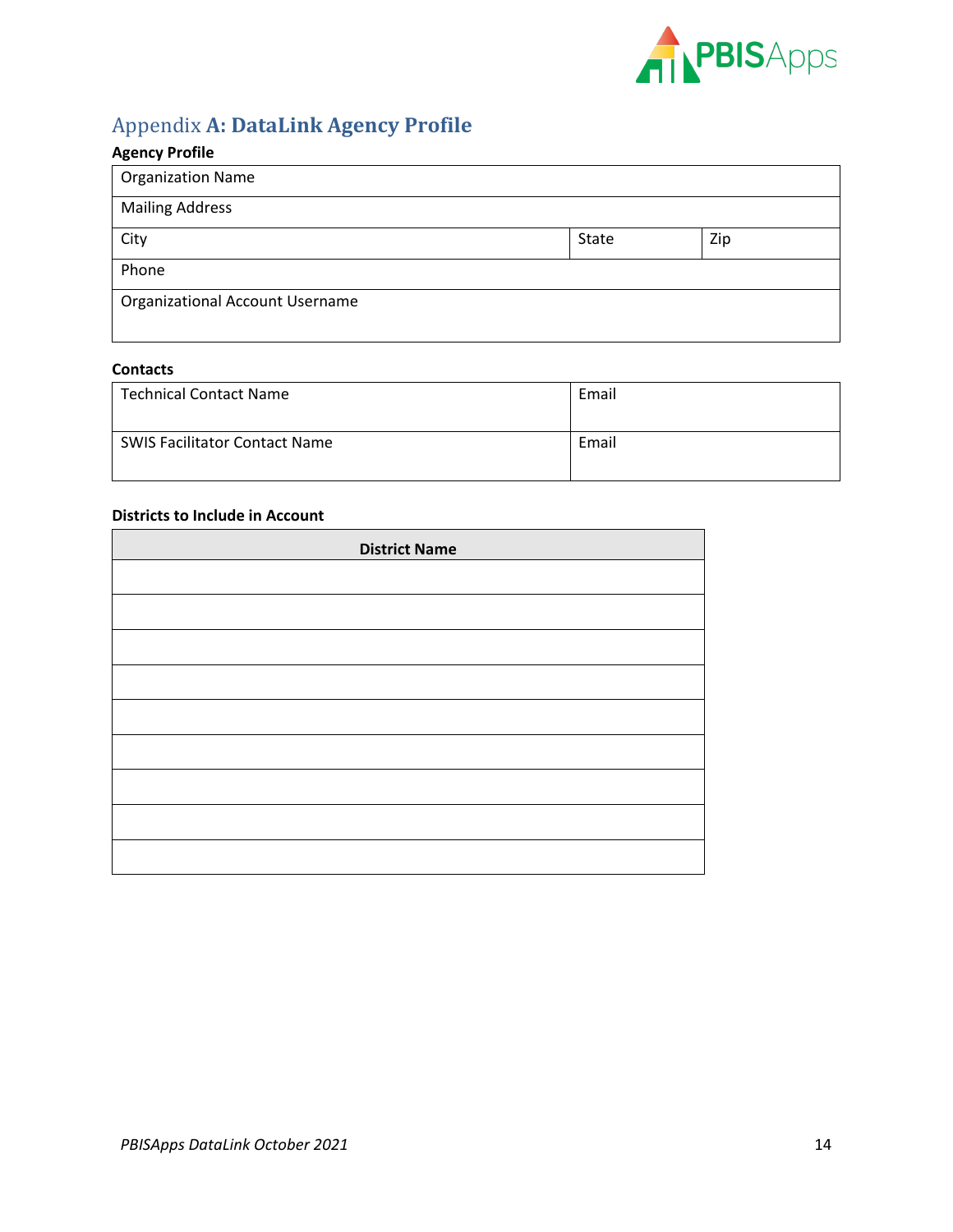

# <span id="page-13-0"></span>Appendix **A: DataLink Agency Profile**

## **Agency Profile**

| <b>Organization Name</b>        |       |     |
|---------------------------------|-------|-----|
| <b>Mailing Address</b>          |       |     |
| City                            | State | Zip |
| Phone                           |       |     |
| Organizational Account Username |       |     |
|                                 |       |     |

#### **Contacts**

| <b>Technical Contact Name</b>        | Email |
|--------------------------------------|-------|
| <b>SWIS Facilitator Contact Name</b> | Email |

#### **Districts to Include in Account**

| <b>District Name</b> |  |  |
|----------------------|--|--|
|                      |  |  |
|                      |  |  |
|                      |  |  |
|                      |  |  |
|                      |  |  |
|                      |  |  |
|                      |  |  |
|                      |  |  |
|                      |  |  |
|                      |  |  |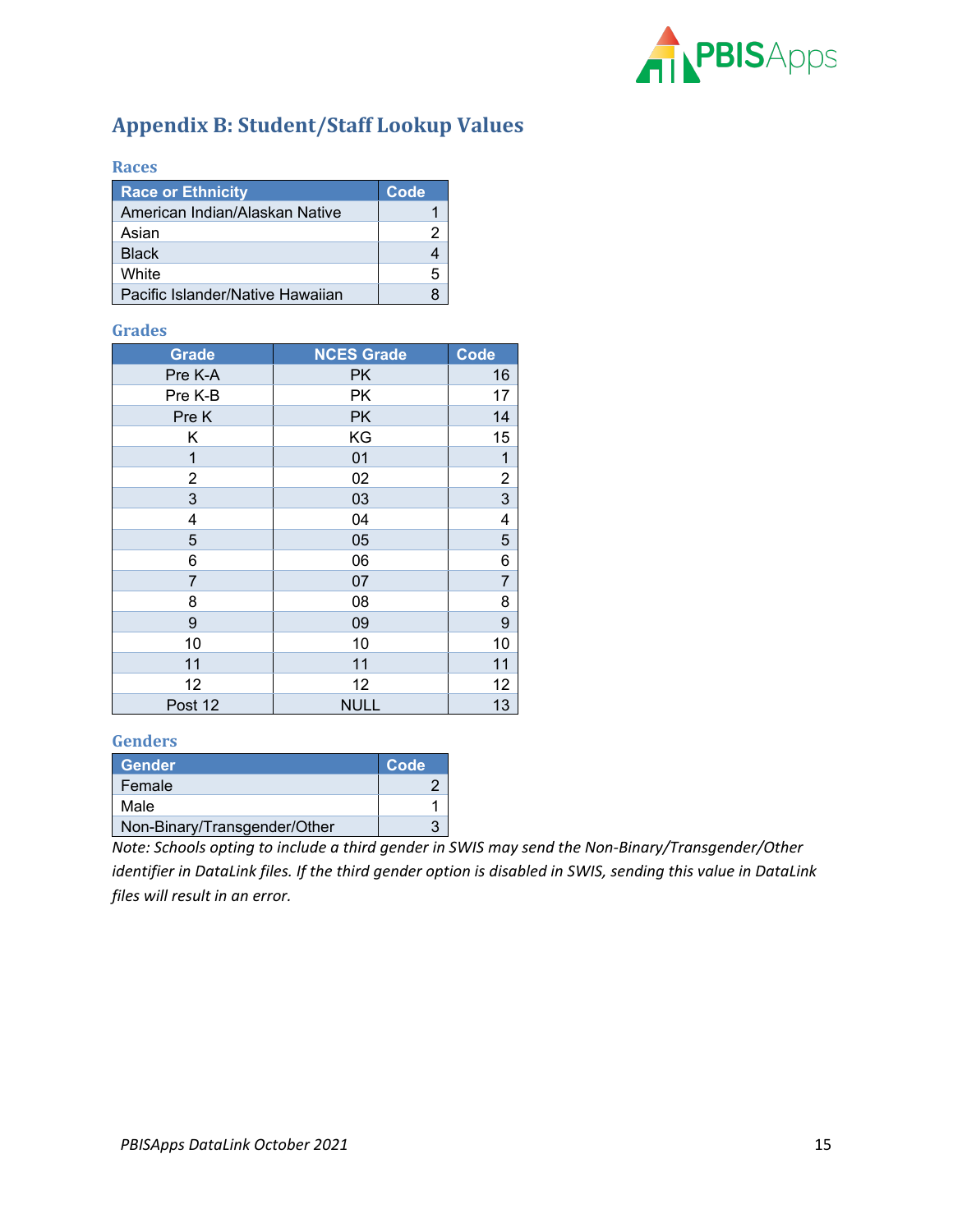

# <span id="page-14-0"></span>**Appendix B: Student/Staff Lookup Values**

#### <span id="page-14-1"></span>**Races**

| <b>Race or Ethnicity</b>         | Code |
|----------------------------------|------|
| American Indian/Alaskan Native   |      |
| Asian                            |      |
| <b>Black</b>                     |      |
| <b>White</b>                     | 5    |
| Pacific Islander/Native Hawaiian |      |

#### <span id="page-14-2"></span>**Grades**

| <b>Grade</b>     | <b>NCES Grade</b> | <b>Code</b>    |
|------------------|-------------------|----------------|
| Pre K-A          | <b>PK</b>         | 16             |
| Pre K-B          | PK                | 17             |
| Pre K            | <b>PK</b>         | 14             |
| Κ                | KG                | 15             |
| 1                | 01                | 1              |
| $\overline{c}$   | 02                |                |
| 3                | 03                | $\frac{2}{3}$  |
| 4                | 04                | 4              |
| 5                | 05                | 5              |
| 6                | 06                | $\overline{6}$ |
| 7                | 07                | $\overline{7}$ |
| 8                | 08                | 8              |
| $\boldsymbol{9}$ | 09                | 9              |
| 10               | 10                | 10             |
| 11               | 11                | 11             |
| 12               | 12                | 12             |
| Post 12          | <b>NULL</b>       | 13             |

#### <span id="page-14-3"></span>**Genders**

| <b>Gender</b>                | Code |
|------------------------------|------|
| Female                       |      |
| Male                         |      |
| Non-Binary/Transgender/Other |      |

*Note: Schools opting to include a third gender in SWIS may send the Non-Binary/Transgender/Other identifier in DataLink files. If the third gender option is disabled in SWIS, sending this value in DataLink files will result in an error.*